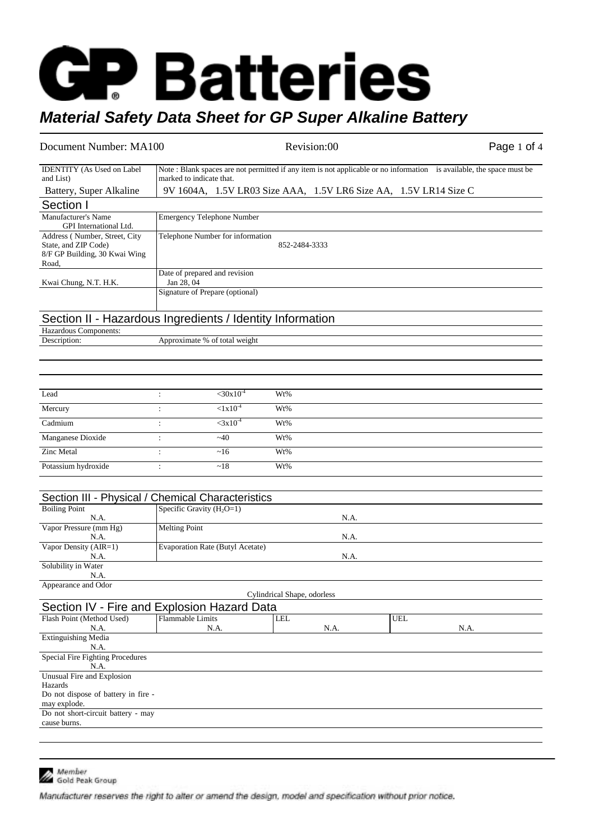# **GP Batteries** *Material Safety Data Sheet for GP Super Alkaline Battery*

### Document Number: MA100 Revision:00 Revision:00 Page 1 of 4

| <b>IDENTITY</b> (As Used on Label<br>and List)                                                  | Note: Blank spaces are not permitted if any item is not applicable or no information is available, the space must be<br>marked to indicate that. |                                                                  |                             |      |  |            |      |  |
|-------------------------------------------------------------------------------------------------|--------------------------------------------------------------------------------------------------------------------------------------------------|------------------------------------------------------------------|-----------------------------|------|--|------------|------|--|
| Battery, Super Alkaline                                                                         |                                                                                                                                                  | 9V 1604A, 1.5V LR03 Size AAA, 1.5V LR6 Size AA, 1.5V LR14 Size C |                             |      |  |            |      |  |
| Section I                                                                                       |                                                                                                                                                  |                                                                  |                             |      |  |            |      |  |
| Manufacturer's Name<br>GPI International Ltd.                                                   | <b>Emergency Telephone Number</b>                                                                                                                |                                                                  |                             |      |  |            |      |  |
| Address (Number, Street, City<br>State, and ZIP Code)<br>8/F GP Building, 30 Kwai Wing<br>Road, | Telephone Number for information<br>852-2484-3333                                                                                                |                                                                  |                             |      |  |            |      |  |
| Kwai Chung, N.T. H.K.                                                                           | Date of prepared and revision<br>Jan 28, 04                                                                                                      |                                                                  |                             |      |  |            |      |  |
|                                                                                                 | Signature of Prepare (optional)                                                                                                                  |                                                                  |                             |      |  |            |      |  |
| Section II - Hazardous Ingredients / Identity Information<br>Hazardous Components:              |                                                                                                                                                  |                                                                  |                             |      |  |            |      |  |
| Description:                                                                                    | Approximate % of total weight                                                                                                                    |                                                                  |                             |      |  |            |      |  |
|                                                                                                 |                                                                                                                                                  |                                                                  |                             |      |  |            |      |  |
|                                                                                                 |                                                                                                                                                  |                                                                  |                             |      |  |            |      |  |
| Lead                                                                                            | $\ddot{\phantom{a}}$                                                                                                                             | $<$ 30x10 <sup>-4</sup>                                          | Wt%                         |      |  |            |      |  |
| Mercury                                                                                         | $\ddot{\cdot}$                                                                                                                                   | $< 1x10^{-4}$                                                    | Wt%                         |      |  |            |      |  |
| Cadmium                                                                                         | $\ddot{\cdot}$                                                                                                                                   | $<$ 3x10 <sup>-4</sup>                                           | Wt%                         |      |  |            |      |  |
| Manganese Dioxide                                                                               | $\ddot{\cdot}$                                                                                                                                   | $-40$                                                            | Wt%                         |      |  |            |      |  |
| <b>Zinc Metal</b>                                                                               | $\ddot{\cdot}$                                                                                                                                   | ~16                                                              | Wt%                         |      |  |            |      |  |
| Potassium hydroxide                                                                             | $\ddot{\cdot}$                                                                                                                                   | ~18                                                              | Wt%                         |      |  |            |      |  |
|                                                                                                 |                                                                                                                                                  |                                                                  |                             |      |  |            |      |  |
| Section III - Physical /                                                                        | <b>Chemical Characteristics</b>                                                                                                                  |                                                                  |                             |      |  |            |      |  |
| <b>Boiling Point</b><br>N.A.                                                                    | Specific Gravity $(H_2O=1)$                                                                                                                      |                                                                  |                             | N.A. |  |            |      |  |
| Vapor Pressure (mm Hg)<br>N.A.                                                                  | <b>Melting Point</b>                                                                                                                             |                                                                  |                             | N.A. |  |            |      |  |
| Vapor Density (AIR=1)<br>N.A.                                                                   | <b>Evaporation Rate (Butyl Acetate)</b>                                                                                                          |                                                                  |                             | N.A. |  |            |      |  |
| Solubility in Water                                                                             |                                                                                                                                                  |                                                                  |                             |      |  |            |      |  |
| N.A.<br>Appearance and Odor                                                                     |                                                                                                                                                  |                                                                  |                             |      |  |            |      |  |
|                                                                                                 |                                                                                                                                                  |                                                                  | Cylindrical Shape, odorless |      |  |            |      |  |
| Section IV - Fire and Explosion Hazard Data<br>Flash Point (Method Used)                        | <b>Flammable Limits</b>                                                                                                                          |                                                                  | <b>LEL</b>                  |      |  | <b>UEL</b> |      |  |
| N.A.                                                                                            | N.A.                                                                                                                                             |                                                                  |                             | N.A. |  |            | N.A. |  |
| <b>Extinguishing Media</b><br>N.A.                                                              |                                                                                                                                                  |                                                                  |                             |      |  |            |      |  |
| Special Fire Fighting Procedures<br>N.A.                                                        |                                                                                                                                                  |                                                                  |                             |      |  |            |      |  |
| Unusual Fire and Explosion<br>Hazards<br>Do not dispose of battery in fire -<br>may explode.    |                                                                                                                                                  |                                                                  |                             |      |  |            |      |  |
| Do not short-circuit battery - may<br>cause burns.                                              |                                                                                                                                                  |                                                                  |                             |      |  |            |      |  |
|                                                                                                 |                                                                                                                                                  |                                                                  |                             |      |  |            |      |  |



Member<br>Gold Peak Group

Manufacturer reserves the right to alter or amend the design, model and specification without prior notice.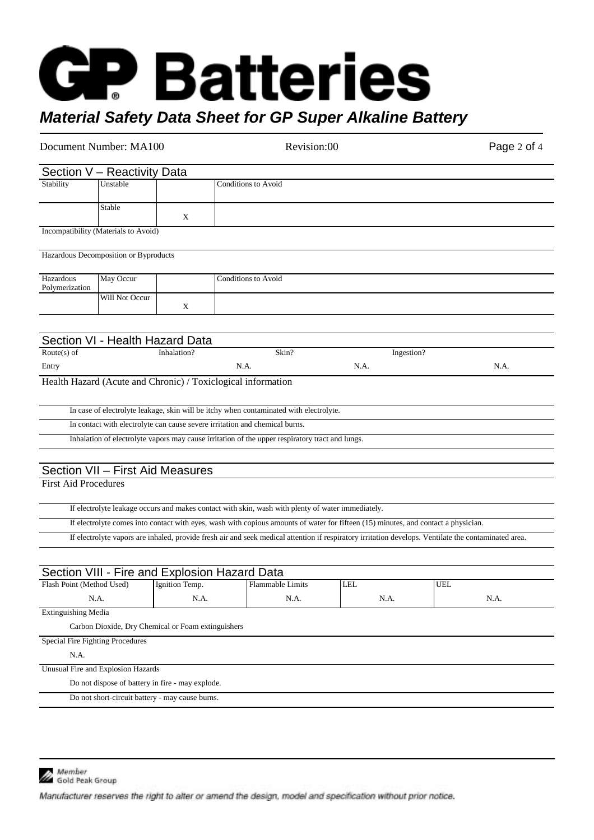## **GP Batteries** *Material Safety Data Sheet for GP Super Alkaline Battery*

| Document Number: MA100      |                                                                             |             |                            | Revision:00                                                                                                                        |      | Page 2 of 4 |                                                                                                                                                      |  |
|-----------------------------|-----------------------------------------------------------------------------|-------------|----------------------------|------------------------------------------------------------------------------------------------------------------------------------|------|-------------|------------------------------------------------------------------------------------------------------------------------------------------------------|--|
|                             | Section V - Reactivity Data                                                 |             |                            |                                                                                                                                    |      |             |                                                                                                                                                      |  |
| Stability                   | Unstable                                                                    |             | Conditions to Avoid        |                                                                                                                                    |      |             |                                                                                                                                                      |  |
|                             |                                                                             |             |                            |                                                                                                                                    |      |             |                                                                                                                                                      |  |
|                             | Stable                                                                      | X           |                            |                                                                                                                                    |      |             |                                                                                                                                                      |  |
|                             | Incompatibility (Materials to Avoid)                                        |             |                            |                                                                                                                                    |      |             |                                                                                                                                                      |  |
|                             |                                                                             |             |                            |                                                                                                                                    |      |             |                                                                                                                                                      |  |
|                             | Hazardous Decomposition or Byproducts                                       |             |                            |                                                                                                                                    |      |             |                                                                                                                                                      |  |
| Hazardous                   | May Occur                                                                   |             | <b>Conditions to Avoid</b> |                                                                                                                                    |      |             |                                                                                                                                                      |  |
| Polymerization              |                                                                             |             |                            |                                                                                                                                    |      |             |                                                                                                                                                      |  |
|                             | Will Not Occur                                                              | X           |                            |                                                                                                                                    |      |             |                                                                                                                                                      |  |
|                             |                                                                             |             |                            |                                                                                                                                    |      |             |                                                                                                                                                      |  |
|                             |                                                                             |             |                            |                                                                                                                                    |      |             |                                                                                                                                                      |  |
|                             | Section VI - Health Hazard Data                                             |             |                            |                                                                                                                                    |      |             |                                                                                                                                                      |  |
| Route $(s)$ of              |                                                                             | Inhalation? |                            | Skin?                                                                                                                              |      | Ingestion?  |                                                                                                                                                      |  |
| Entry                       | Health Hazard (Acute and Chronic) / Toxiclogical information                |             | N.A.                       |                                                                                                                                    | N.A. |             | N.A.                                                                                                                                                 |  |
|                             |                                                                             |             |                            |                                                                                                                                    |      |             |                                                                                                                                                      |  |
|                             |                                                                             |             |                            | In case of electrolyte leakage, skin will be itchy when contaminated with electrolyte.                                             |      |             |                                                                                                                                                      |  |
|                             | In contact with electrolyte can cause severe irritation and chemical burns. |             |                            |                                                                                                                                    |      |             |                                                                                                                                                      |  |
|                             |                                                                             |             |                            | Inhalation of electrolyte vapors may cause irritation of the upper respiratory tract and lungs.                                    |      |             |                                                                                                                                                      |  |
|                             |                                                                             |             |                            |                                                                                                                                    |      |             |                                                                                                                                                      |  |
|                             | Section VII - First Aid Measures                                            |             |                            |                                                                                                                                    |      |             |                                                                                                                                                      |  |
| <b>First Aid Procedures</b> |                                                                             |             |                            |                                                                                                                                    |      |             |                                                                                                                                                      |  |
|                             |                                                                             |             |                            |                                                                                                                                    |      |             |                                                                                                                                                      |  |
|                             |                                                                             |             |                            | If electrolyte leakage occurs and makes contact with skin, wash with plenty of water immediately.                                  |      |             |                                                                                                                                                      |  |
|                             |                                                                             |             |                            | If electrolyte comes into contact with eyes, wash with copious amounts of water for fifteen (15) minutes, and contact a physician. |      |             |                                                                                                                                                      |  |
|                             |                                                                             |             |                            |                                                                                                                                    |      |             | If electrolyte vapors are inhaled, provide fresh air and seek medical attention if respiratory irritation develops. Ventilate the contaminated area. |  |
|                             |                                                                             |             |                            |                                                                                                                                    |      |             |                                                                                                                                                      |  |
|                             | Section VIII - Fire and Explosion Hazard Data                               |             |                            |                                                                                                                                    |      |             |                                                                                                                                                      |  |
|                             | Flash Point (Method Used) [Ignition Temp.                                   |             |                            | Flammable Limits                                                                                                                   | LEL  |             | UEL                                                                                                                                                  |  |
|                             | N.A.                                                                        | N.A.        |                            | N.A.                                                                                                                               |      | N.A.        | N.A.                                                                                                                                                 |  |
| <b>Extinguishing Media</b>  |                                                                             |             |                            |                                                                                                                                    |      |             |                                                                                                                                                      |  |
|                             | Carbon Dioxide, Dry Chemical or Foam extinguishers                          |             |                            |                                                                                                                                    |      |             |                                                                                                                                                      |  |
|                             | Special Fire Fighting Procedures                                            |             |                            |                                                                                                                                    |      |             |                                                                                                                                                      |  |
| N.A.                        |                                                                             |             |                            |                                                                                                                                    |      |             |                                                                                                                                                      |  |
|                             | Unusual Fire and Explosion Hazards                                          |             |                            |                                                                                                                                    |      |             |                                                                                                                                                      |  |
|                             | Do not dispose of battery in fire - may explode.                            |             |                            |                                                                                                                                    |      |             |                                                                                                                                                      |  |
|                             | Do not short-circuit battery - may cause burns.                             |             |                            |                                                                                                                                    |      |             |                                                                                                                                                      |  |
|                             |                                                                             |             |                            |                                                                                                                                    |      |             |                                                                                                                                                      |  |



Member<br>Gold Peak Group

Manufacturer reserves the right to alter or amend the design, model and specification without prior notice.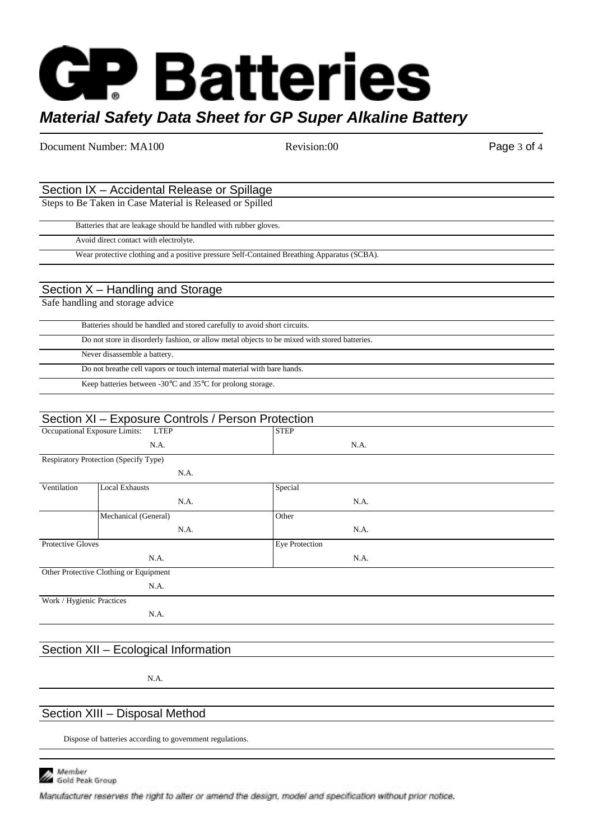# **GP Batteries** *Material Safety Data Sheet for GP Super Alkaline Battery*

Document Number: MA100 Revision:00 Revision:00 Page 3 of 4

## Section IX – Accidental Release or Spillage

Steps to Be Taken in Case Material is Released or Spilled

Batteries that are leakage should be handled with rubber gloves.

Avoid direct contact with electrolyte.

Wear protective clothing and a positive pressure Self-Contained Breathing Apparatus (SCBA).

#### Section X – Handling and Storage

Safe handling and storage advice

| Batteries should be handled and stored carefully to avoid short circuits.                     |
|-----------------------------------------------------------------------------------------------|
| Do not store in disorderly fashion, or allow metal objects to be mixed with stored batteries. |
| Never disassemble a battery.                                                                  |
| Do not breathe cell vapors or touch internal material with bare hands.                        |
| Keep batteries between -30 $\degree$ C and 35 $\degree$ C for prolong storage.                |

#### Section XI – Exposure Controls / Person Protection Occupational Exposure Limits: LTEP N.A. **STEP** N.A. Respiratory Protection (Specify Type) N.A. Ventilation Local Exhausts N.A. **Special** N.A. Mechanical (General) N.A. **Other** N.A. Protective Gloves N.A. Eye Protection N.A. Other Protective Clothing or Equipment N.A. Work / Hygienic Practices N.A.

### Section XII – Ecological Information

N.A.

### Section XIII – Disposal Method

Dispose of batteries according to government regulations.



Member Member<br>Gold Peak Group

Manufacturer reserves the right to alter or amend the design, model and specification without prior notice.